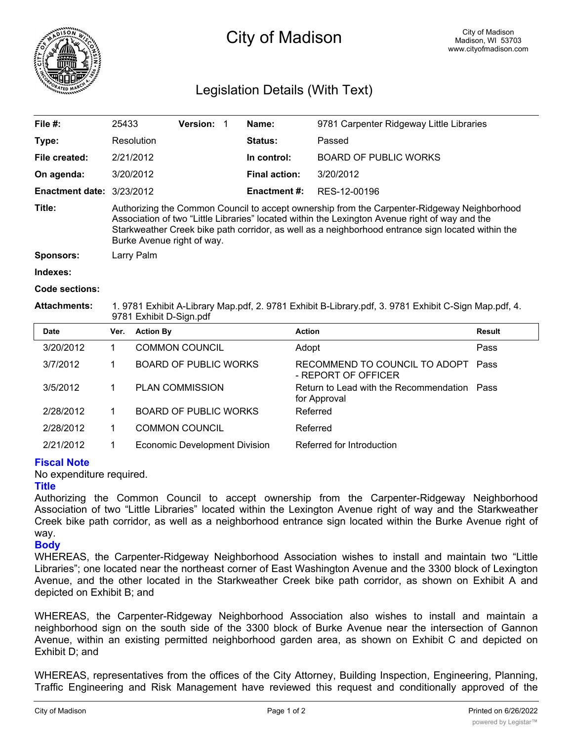

# City of Madison

# Legislation Details (With Text)

| File $#$ :                  | 25433                                                                                                                                                                                                                                                                                                                            | Version: |  | Name:                | 9781 Carpenter Ridgeway Little Libraries |  |  |
|-----------------------------|----------------------------------------------------------------------------------------------------------------------------------------------------------------------------------------------------------------------------------------------------------------------------------------------------------------------------------|----------|--|----------------------|------------------------------------------|--|--|
| Type:                       | Resolution                                                                                                                                                                                                                                                                                                                       |          |  | Status:              | Passed                                   |  |  |
| File created:               | 2/21/2012                                                                                                                                                                                                                                                                                                                        |          |  | In control:          | <b>BOARD OF PUBLIC WORKS</b>             |  |  |
| On agenda:                  | 3/20/2012                                                                                                                                                                                                                                                                                                                        |          |  | <b>Final action:</b> | 3/20/2012                                |  |  |
| Enactment date: $3/23/2012$ |                                                                                                                                                                                                                                                                                                                                  |          |  | <b>Enactment #:</b>  | RES-12-00196                             |  |  |
| Title:                      | Authorizing the Common Council to accept ownership from the Carpenter-Ridgeway Neighborhood<br>Association of two "Little Libraries" located within the Lexington Avenue right of way and the<br>Starkweather Creek bike path corridor, as well as a neighborhood entrance sign located within the<br>Burke Avenue right of way. |          |  |                      |                                          |  |  |
| <b>Sponsors:</b>            | Larry Palm                                                                                                                                                                                                                                                                                                                       |          |  |                      |                                          |  |  |
| Indexes:                    |                                                                                                                                                                                                                                                                                                                                  |          |  |                      |                                          |  |  |

#### **Code sections:**

**Attachments:** 1. 9781 Exhibit A-Library Map.pdf, 2. 9781 Exhibit B-Library.pdf, 3. 9781 Exhibit C-Sign Map.pdf, 4. 9781 Exhibit D-Sign.pdf

| <b>Date</b> | Ver. | <b>Action By</b>                     | <b>Action</b>                                               | <b>Result</b> |
|-------------|------|--------------------------------------|-------------------------------------------------------------|---------------|
| 3/20/2012   |      | <b>COMMON COUNCIL</b>                | Adopt                                                       | Pass          |
| 3/7/2012    |      | <b>BOARD OF PUBLIC WORKS</b>         | RECOMMEND TO COUNCIL TO ADOPT<br>- REPORT OF OFFICER        | Pass          |
| 3/5/2012    |      | <b>PLAN COMMISSION</b>               | Return to Lead with the Recommendation Pass<br>for Approval |               |
| 2/28/2012   |      | <b>BOARD OF PUBLIC WORKS</b>         | Referred                                                    |               |
| 2/28/2012   |      | <b>COMMON COUNCIL</b>                | Referred                                                    |               |
| 2/21/2012   |      | <b>Economic Development Division</b> | Referred for Introduction                                   |               |

## **Fiscal Note**

No expenditure required.

#### **Title**

Authorizing the Common Council to accept ownership from the Carpenter-Ridgeway Neighborhood Association of two "Little Libraries" located within the Lexington Avenue right of way and the Starkweather Creek bike path corridor, as well as a neighborhood entrance sign located within the Burke Avenue right of way.

## **Body**

WHEREAS, the Carpenter-Ridgeway Neighborhood Association wishes to install and maintain two "Little Libraries"; one located near the northeast corner of East Washington Avenue and the 3300 block of Lexington Avenue, and the other located in the Starkweather Creek bike path corridor, as shown on Exhibit A and depicted on Exhibit B; and

WHEREAS, the Carpenter-Ridgeway Neighborhood Association also wishes to install and maintain a neighborhood sign on the south side of the 3300 block of Burke Avenue near the intersection of Gannon Avenue, within an existing permitted neighborhood garden area, as shown on Exhibit C and depicted on Exhibit D; and

WHEREAS, representatives from the offices of the City Attorney, Building Inspection, Engineering, Planning, Traffic Engineering and Risk Management have reviewed this request and conditionally approved of the